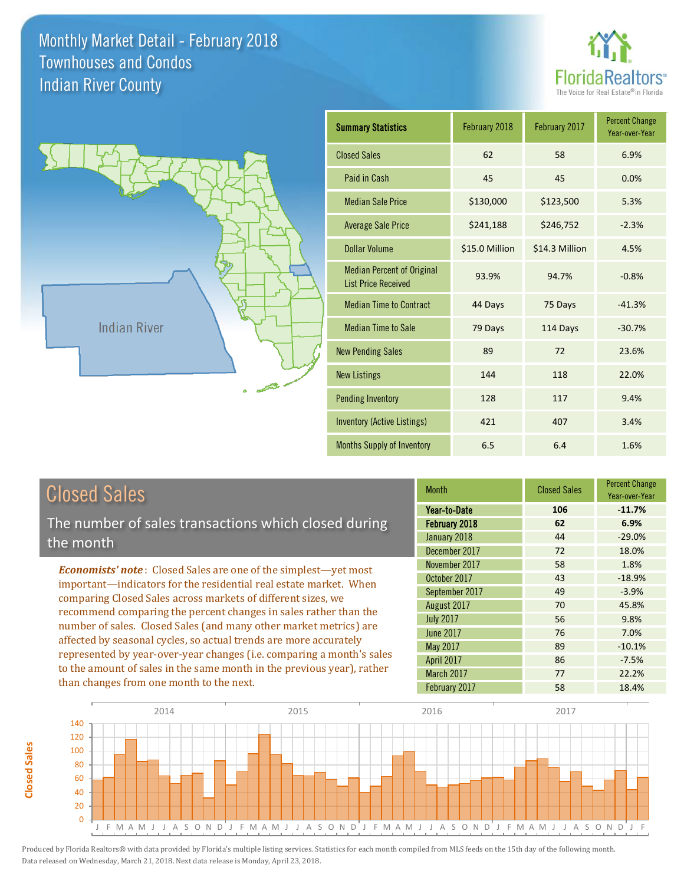



# Closed Sales

**Closed Sales**

Closed Sales

The number of sales transactions which closed during the month

*Economists' note* : Closed Sales are one of the simplest—yet most important—indicators for the residential real estate market. When comparing Closed Sales across markets of different sizes, we recommend comparing the percent changes in sales rather than the number of sales. Closed Sales (and many other market metrics) are affected by seasonal cycles, so actual trends are more accurately represented by year-over-year changes (i.e. comparing a month's sales to the amount of sales in the same month in the previous year), rather than changes from one month to the next.

| <b>Month</b>     | <b>Closed Sales</b> | <b>Percent Change</b><br>Year-over-Year |
|------------------|---------------------|-----------------------------------------|
| Year-to-Date     | 106                 | $-11.7%$                                |
| February 2018    | 62                  | 6.9%                                    |
| January 2018     | 44                  | $-29.0%$                                |
| December 2017    | 72                  | 18.0%                                   |
| November 2017    | 58                  | 1.8%                                    |
| October 2017     | 43                  | $-18.9%$                                |
| September 2017   | 49                  | $-3.9%$                                 |
| August 2017      | 70                  | 45.8%                                   |
| <b>July 2017</b> | 56                  | 9.8%                                    |
| <b>June 2017</b> | 76                  | 7.0%                                    |
| May 2017         | 89                  | $-10.1%$                                |
| April 2017       | 86                  | $-7.5%$                                 |
| March 2017       | 77                  | 22.2%                                   |
| February 2017    | 58                  | 18.4%                                   |

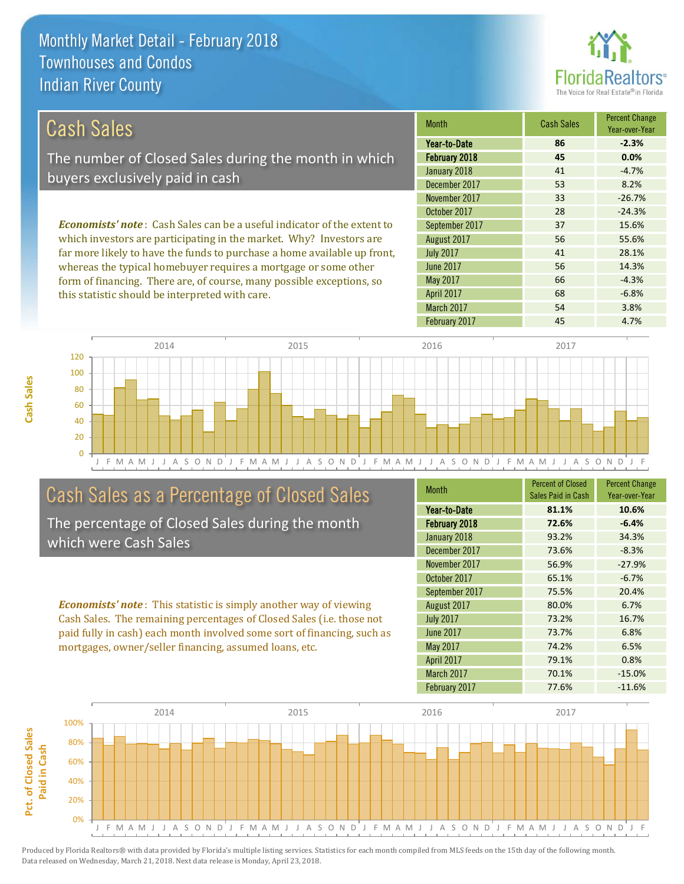this statistic should be interpreted with care.



66 -4.3%

68 -6.8%

| Cash Sales                                                                     | <b>Month</b>     | <b>Cash Sales</b> | <b>Percent Change</b><br>Year-over-Year |
|--------------------------------------------------------------------------------|------------------|-------------------|-----------------------------------------|
|                                                                                | Year-to-Date     | 86                | $-2.3%$                                 |
| The number of Closed Sales during the month in which                           | February 2018    | 45                | 0.0%                                    |
| buyers exclusively paid in cash                                                | January 2018     | 41                | $-4.7%$                                 |
|                                                                                | December 2017    | 53                | 8.2%                                    |
|                                                                                | November 2017    | 33                | $-26.7%$                                |
|                                                                                | October 2017     | 28                | $-24.3%$                                |
| <b>Economists' note:</b> Cash Sales can be a useful indicator of the extent to | September 2017   | 37                | 15.6%                                   |
| which investors are participating in the market. Why? Investors are            | August 2017      | 56                | 55.6%                                   |
| far more likely to have the funds to purchase a home available up front,       | <b>July 2017</b> | 41                | 28.1%                                   |
| whereas the typical homebuyer requires a mortgage or some other                | <b>June 2017</b> | 56                | 14.3%                                   |

J F M A M J J A S O N D J F M A M J J A S O N D J F M A M J J A S O N D J F M A M J J A S O N D J F  $\Omega$ 20 40 60 80 100 120 2014 2015 2016 2017

## Cash Sales as a Percentage of Closed Sales

form of financing. There are, of course, many possible exceptions, so

The percentage of Closed Sales during the month which were Cash Sales

*Economists' note* : This statistic is simply another way of viewing Cash Sales. The remaining percentages of Closed Sales (i.e. those not paid fully in cash) each month involved some sort of financing, such as mortgages, owner/seller financing, assumed loans, etc.

| <b>Month</b>     | <b>Percent of Closed</b> | <b>Percent Change</b> |
|------------------|--------------------------|-----------------------|
|                  | Sales Paid in Cash       | Year-over-Year        |
| Year-to-Date     | 81.1%                    | 10.6%                 |
| February 2018    | 72.6%                    | $-6.4%$               |
| January 2018     | 93.2%                    | 34.3%                 |
| December 2017    | 73.6%                    | $-8.3%$               |
| November 2017    | 56.9%                    | $-27.9%$              |
| October 2017     | 65.1%                    | $-6.7%$               |
| September 2017   | 75.5%                    | 20.4%                 |
| August 2017      | 80.0%                    | 6.7%                  |
| <b>July 2017</b> | 73.2%                    | 16.7%                 |
| June 2017        | 73.7%                    | 6.8%                  |
| May 2017         | 74.2%                    | 6.5%                  |
| April 2017       | 79.1%                    | 0.8%                  |
| March 2017       | 70.1%                    | $-15.0%$              |
| February 2017    | 77.6%                    | $-11.6%$              |

February 2017 **45** 4.7%

March 2017 54 3.8%

April 2017

May 2017

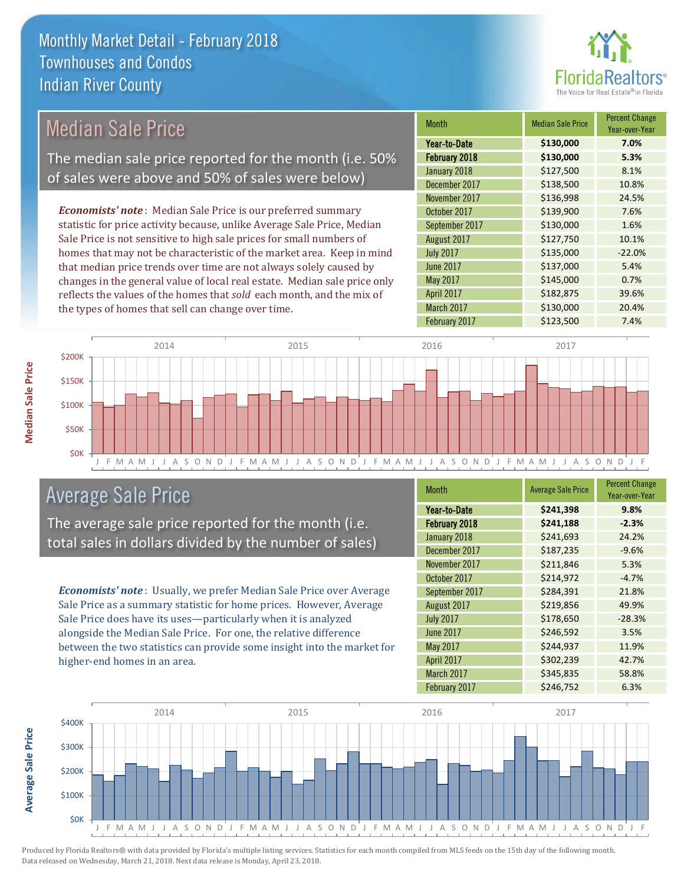

| <b>Median Sale Price</b>                                                                                   |                                                    | <b>Month</b>                                                            | <b>Median Sale Price</b> | Percent Change<br>Year-over-Year |       |
|------------------------------------------------------------------------------------------------------------|----------------------------------------------------|-------------------------------------------------------------------------|--------------------------|----------------------------------|-------|
|                                                                                                            |                                                    | Year-to-Date                                                            | \$130,000                | 7.0%                             |       |
| The median sale price reported for the month (i.e. 50%<br>of sales were above and 50% of sales were below) |                                                    | February 2018                                                           | \$130,000                | 5.3%                             |       |
|                                                                                                            |                                                    | January 2018                                                            | \$127,500                | 8.1%                             |       |
|                                                                                                            |                                                    |                                                                         | December 2017            | \$138,500                        | 10.8% |
|                                                                                                            |                                                    |                                                                         | November 2017            | \$136,998                        | 24.5% |
|                                                                                                            |                                                    | <b>Economists' note</b> : Median Sale Price is our preferred summary    | October 2017             | \$139,900                        | 7.6%  |
|                                                                                                            |                                                    | statistic for price activity because, unlike Average Sale Price, Median | September 2017           | \$130,000                        | 1.6%  |
| Sale Price is not sensitive to high sale prices for small numbers of                                       |                                                    | August 2017                                                             | \$127,750                | 10.1%                            |       |
| homes that may not be characteristic of the market area. Keep in mind                                      |                                                    | <b>July 2017</b>                                                        | \$135,000                | $-22.0%$                         |       |
| that median price trends over time are not always solely caused by                                         |                                                    | <b>June 2017</b>                                                        | \$137,000                | 5.4%                             |       |
| changes in the general value of local real estate. Median sale price only                                  |                                                    | May 2017                                                                | \$145,000                | 0.7%                             |       |
|                                                                                                            |                                                    | reflects the values of the homes that sold each month, and the mix of   | <b>April 2017</b>        | \$182,875                        | 39.6% |
|                                                                                                            | the types of homes that sell can change over time. |                                                                         | March 2017               | \$130,000                        | 20.4% |
|                                                                                                            |                                                    |                                                                         | February 2017            | \$123,500                        | 7.4%  |
|                                                                                                            |                                                    |                                                                         |                          |                                  |       |
| \$200K                                                                                                     | 2014                                               | 2015                                                                    | 2016                     | 2017                             |       |
| \$150K -                                                                                                   |                                                    |                                                                         |                          |                                  |       |



## Average Sale Price

The average sale price reported for the month (i.e. total sales in dollars divided by the number of sales)

*Economists' note* : Usually, we prefer Median Sale Price over Average Sale Price as a summary statistic for home prices. However, Average Sale Price does have its uses—particularly when it is analyzed alongside the Median Sale Price. For one, the relative difference between the two statistics can provide some insight into the market for higher-end homes in an area.

| <b>Month</b>      | <b>Average Sale Price</b> | <b>Percent Change</b><br>Year-over-Year |
|-------------------|---------------------------|-----------------------------------------|
| Year-to-Date      | \$241,398                 | 9.8%                                    |
| February 2018     | \$241,188                 | $-2.3%$                                 |
| January 2018      | \$241,693                 | 24.2%                                   |
| December 2017     | \$187,235                 | $-9.6%$                                 |
| November 2017     | \$211,846                 | 5.3%                                    |
| October 2017      | \$214,972                 | $-4.7%$                                 |
| September 2017    | \$284,391                 | 21.8%                                   |
| August 2017       | \$219,856                 | 49.9%                                   |
| <b>July 2017</b>  | \$178,650                 | $-28.3%$                                |
| <b>June 2017</b>  | \$246,592                 | 3.5%                                    |
| May 2017          | \$244,937                 | 11.9%                                   |
| <b>April 2017</b> | \$302,239                 | 42.7%                                   |
| March 2017        | \$345,835                 | 58.8%                                   |
| February 2017     | \$246,752                 | 6.3%                                    |



Produced by Florida Realtors® with data provided by Florida's multiple listing services. Statistics for each month compiled from MLS feeds on the 15th day of the following month. Data released on Wednesday, March 21, 2018. Next data release is Monday, April 23, 2018.

**Average Sale Price**

**Average Sale Price**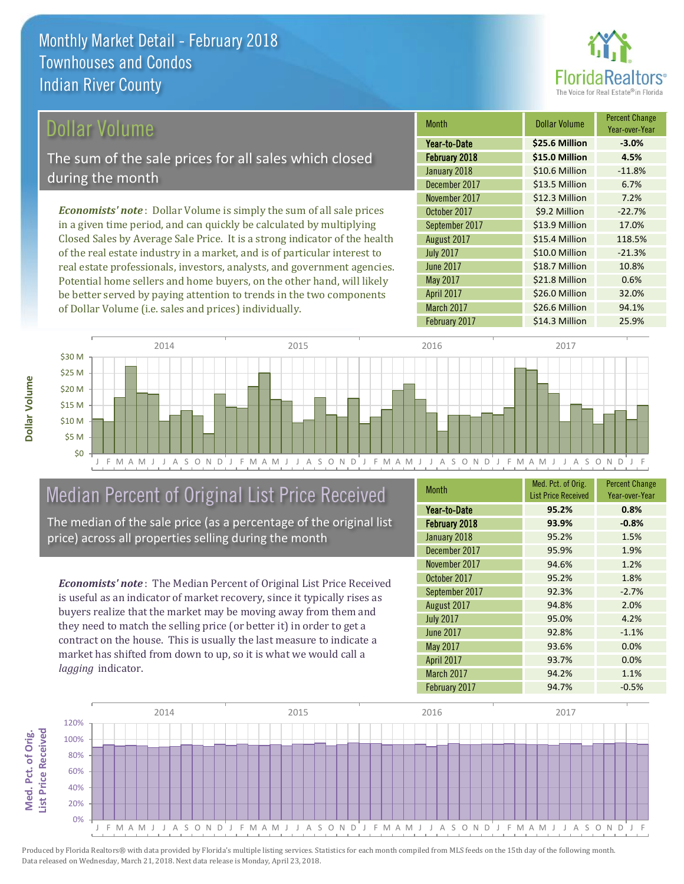

#### Dollar Volume

The sum of the sale prices for all sales which closed during the month

*Economists' note* : Dollar Volume is simply the sum of all sale prices in a given time period, and can quickly be calculated by multiplying Closed Sales by Average Sale Price. It is a strong indicator of the health of the real estate industry in a market, and is of particular interest to real estate professionals, investors, analysts, and government agencies. Potential home sellers and home buyers, on the other hand, will likely be better served by paying attention to trends in the two components of Dollar Volume (i.e. sales and prices) individually.

| <b>Month</b>     | <b>Dollar Volume</b> | <b>Percent Change</b><br>Year-over-Year |
|------------------|----------------------|-----------------------------------------|
| Year-to-Date     | \$25.6 Million       | $-3.0%$                                 |
| February 2018    | \$15.0 Million       | 4.5%                                    |
| January 2018     | \$10.6 Million       | $-11.8%$                                |
| December 2017    | \$13.5 Million       | 6.7%                                    |
| November 2017    | \$12.3 Million       | 7.2%                                    |
| October 2017     | \$9.2 Million        | $-22.7%$                                |
| September 2017   | \$13.9 Million       | 17.0%                                   |
| August 2017      | \$15.4 Million       | 118.5%                                  |
| <b>July 2017</b> | \$10.0 Million       | $-21.3%$                                |
| <b>June 2017</b> | \$18.7 Million       | 10.8%                                   |
| May 2017         | \$21.8 Million       | 0.6%                                    |
| April 2017       | \$26.0 Million       | 32.0%                                   |
| March 2017       | \$26.6 Million       | 94.1%                                   |
| February 2017    | \$14.3 Million       | 25.9%                                   |



## Median Percent of Original List Price Received

The median of the sale price (as a percentage of the original list price) across all properties selling during the month

*Economists' note* : The Median Percent of Original List Price Received is useful as an indicator of market recovery, since it typically rises as buyers realize that the market may be moving away from them and they need to match the selling price (or better it) in order to get a contract on the house. This is usually the last measure to indicate a market has shifted from down to up, so it is what we would call a *lagging* indicator.

| <b>Month</b>     | Med. Pct. of Orig.<br><b>List Price Received</b> | <b>Percent Change</b><br>Year-over-Year |
|------------------|--------------------------------------------------|-----------------------------------------|
| Year-to-Date     | 95.2%                                            | 0.8%                                    |
| February 2018    | 93.9%                                            | $-0.8%$                                 |
| January 2018     | 95.2%                                            | 1.5%                                    |
| December 2017    | 95.9%                                            | 1.9%                                    |
| November 2017    | 94.6%                                            | 1.2%                                    |
| October 2017     | 95.2%                                            | 1.8%                                    |
| September 2017   | 92.3%                                            | $-2.7%$                                 |
| August 2017      | 94.8%                                            | 2.0%                                    |
| <b>July 2017</b> | 95.0%                                            | 4.2%                                    |
| <b>June 2017</b> | 92.8%                                            | $-1.1%$                                 |
| <b>May 2017</b>  | 93.6%                                            | 0.0%                                    |
| April 2017       | 93.7%                                            | 0.0%                                    |
| March 2017       | 94.2%                                            | 1.1%                                    |
| February 2017    | 94.7%                                            | $-0.5%$                                 |

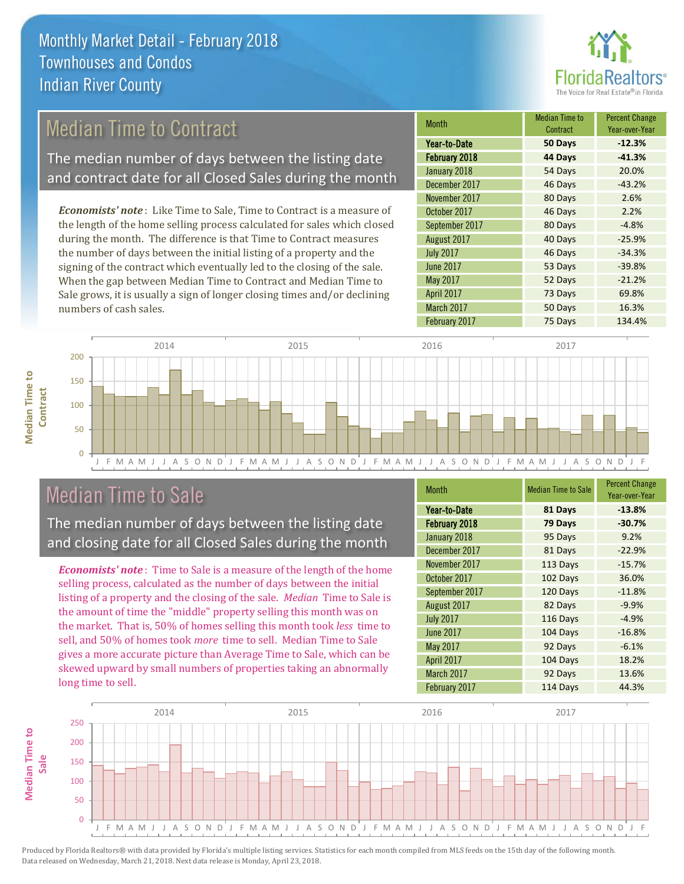

## Median Time to Contract

The median number of days between the listing date and contract date for all Closed Sales during the month

*Economists' note* : Like Time to Sale, Time to Contract is a measure of the length of the home selling process calculated for sales which closed during the month. The difference is that Time to Contract measures the number of days between the initial listing of a property and the signing of the contract which eventually led to the closing of the sale. When the gap between Median Time to Contract and Median Time to Sale grows, it is usually a sign of longer closing times and/or declining numbers of cash sales.

| <b>Month</b>     | <b>Median Time to</b><br>Contract | <b>Percent Change</b><br>Year-over-Year |
|------------------|-----------------------------------|-----------------------------------------|
| Year-to-Date     | 50 Days                           | $-12.3%$                                |
| February 2018    | 44 Days                           | $-41.3%$                                |
| January 2018     | 54 Days                           | 20.0%                                   |
| December 2017    | 46 Days                           | $-43.2%$                                |
| November 2017    | 80 Days                           | 2.6%                                    |
| October 2017     | 46 Days                           | 2.2%                                    |
| September 2017   | 80 Days                           | $-4.8%$                                 |
| August 2017      | 40 Days                           | $-25.9%$                                |
| <b>July 2017</b> | 46 Days                           | $-34.3%$                                |
| <b>June 2017</b> | 53 Days                           | $-39.8%$                                |
| May 2017         | 52 Days                           | $-21.2%$                                |
| April 2017       | 73 Days                           | 69.8%                                   |
| March 2017       | 50 Days                           | 16.3%                                   |
| February 2017    | 75 Days                           | 134.4%                                  |



## Median Time to Sale

**Median Time to** 

**Median Time to** 

The median number of days between the listing date and closing date for all Closed Sales during the month

*Economists' note* : Time to Sale is a measure of the length of the home selling process, calculated as the number of days between the initial listing of a property and the closing of the sale. *Median* Time to Sale is the amount of time the "middle" property selling this month was on the market. That is, 50% of homes selling this month took *less* time to sell, and 50% of homes took *more* time to sell. Median Time to Sale gives a more accurate picture than Average Time to Sale, which can be skewed upward by small numbers of properties taking an abnormally long time to sell.

| <b>Month</b>      | <b>Median Time to Sale</b> | <b>Percent Change</b><br>Year-over-Year |
|-------------------|----------------------------|-----------------------------------------|
| Year-to-Date      | 81 Days                    | $-13.8%$                                |
| February 2018     | 79 Days                    | $-30.7%$                                |
| January 2018      | 95 Days                    | 9.2%                                    |
| December 2017     | 81 Days                    | $-22.9%$                                |
| November 2017     | 113 Days                   | $-15.7%$                                |
| October 2017      | 102 Days                   | 36.0%                                   |
| September 2017    | 120 Days                   | $-11.8%$                                |
| August 2017       | 82 Days                    | $-9.9%$                                 |
| <b>July 2017</b>  | 116 Days                   | $-4.9%$                                 |
| <b>June 2017</b>  | 104 Days                   | $-16.8%$                                |
| May 2017          | 92 Days                    | $-6.1%$                                 |
| April 2017        | 104 Days                   | 18.2%                                   |
| <b>March 2017</b> | 92 Days                    | 13.6%                                   |
| February 2017     | 114 Days                   | 44.3%                                   |

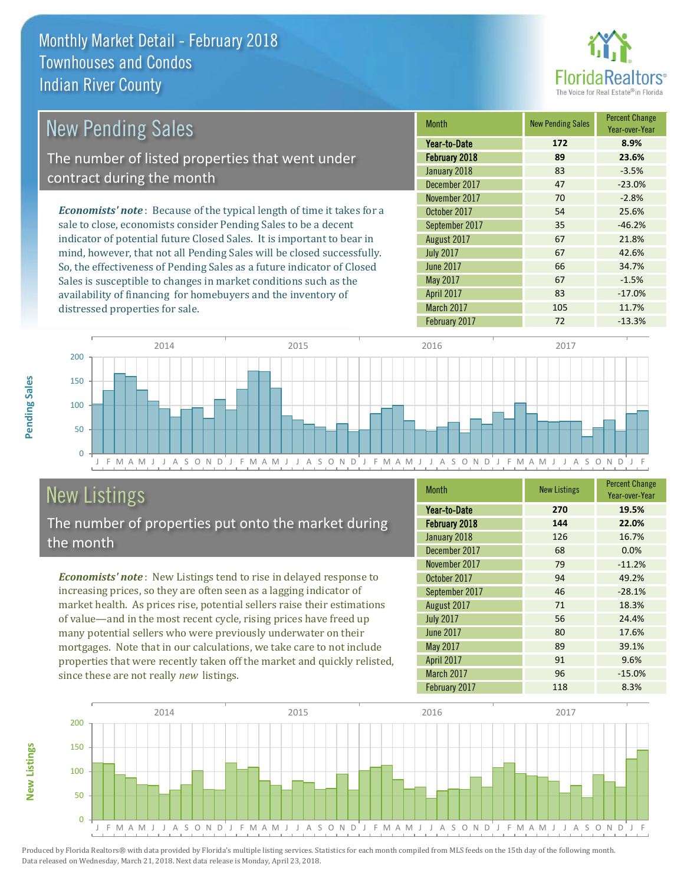

| New Pending Sales                                                              | <b>Month</b>     | <b>New Pending Sales</b> | <b>Percent Change</b><br>Year-over-Year |
|--------------------------------------------------------------------------------|------------------|--------------------------|-----------------------------------------|
|                                                                                | Year-to-Date     | 172                      | 8.9%                                    |
| The number of listed properties that went under                                | February 2018    | 89                       | 23.6%                                   |
| contract during the month                                                      | January 2018     | 83                       | $-3.5%$                                 |
|                                                                                | December 2017    | 47                       | $-23.0%$                                |
|                                                                                | November 2017    | 70                       | $-2.8%$                                 |
| <b>Economists' note</b> : Because of the typical length of time it takes for a | October 2017     | 54                       | 25.6%                                   |
| sale to close, economists consider Pending Sales to be a decent                | September 2017   | 35                       | $-46.2%$                                |
| indicator of potential future Closed Sales. It is important to bear in         | August 2017      | 67                       | 21.8%                                   |
| mind, however, that not all Pending Sales will be closed successfully.         | <b>July 2017</b> | 67                       | 42.6%                                   |
| So, the effectiveness of Pending Sales as a future indicator of Closed         | June 2017        | 66                       | 34.7%                                   |
| Sales is susceptible to changes in market conditions such as the               | May 2017         | 67                       | $-1.5%$                                 |



# New Listings

distressed properties for sale.

The number of properties put onto the market during the month

availability of financing for homebuyers and the inventory of

*Economists' note* : New Listings tend to rise in delayed response to increasing prices, so they are often seen as a lagging indicator of market health. As prices rise, potential sellers raise their estimations of value—and in the most recent cycle, rising prices have freed up many potential sellers who were previously underwater on their mortgages. Note that in our calculations, we take care to not include properties that were recently taken off the market and quickly relisted, since these are not really *new* listings.

| Month            | <b>New Listings</b> | <b>Percent Change</b><br>Year-over-Year |
|------------------|---------------------|-----------------------------------------|
| Year-to-Date     | 270                 | 19.5%                                   |
| February 2018    | 144                 | 22.0%                                   |
| January 2018     | 126                 | 16.7%                                   |
| December 2017    | 68                  | 0.0%                                    |
| November 2017    | 79                  | $-11.2%$                                |
| October 2017     | 94                  | 49.2%                                   |
| September 2017   | 46                  | $-28.1%$                                |
| August 2017      | 71                  | 18.3%                                   |
| <b>July 2017</b> | 56                  | 24.4%                                   |
| <b>June 2017</b> | 80                  | 17.6%                                   |
| May 2017         | 89                  | 39.1%                                   |
| April 2017       | 91                  | 9.6%                                    |
| March 2017       | 96                  | $-15.0%$                                |
| February 2017    | 118                 | 8.3%                                    |

April 2017 **83** -17.0% March 2017 105 105 11.7%



Produced by Florida Realtors® with data provided by Florida's multiple listing services. Statistics for each month compiled from MLS feeds on the 15th day of the following month. Data released on Wednesday, March 21, 2018. Next data release is Monday, April 23, 2018.

**New Listings**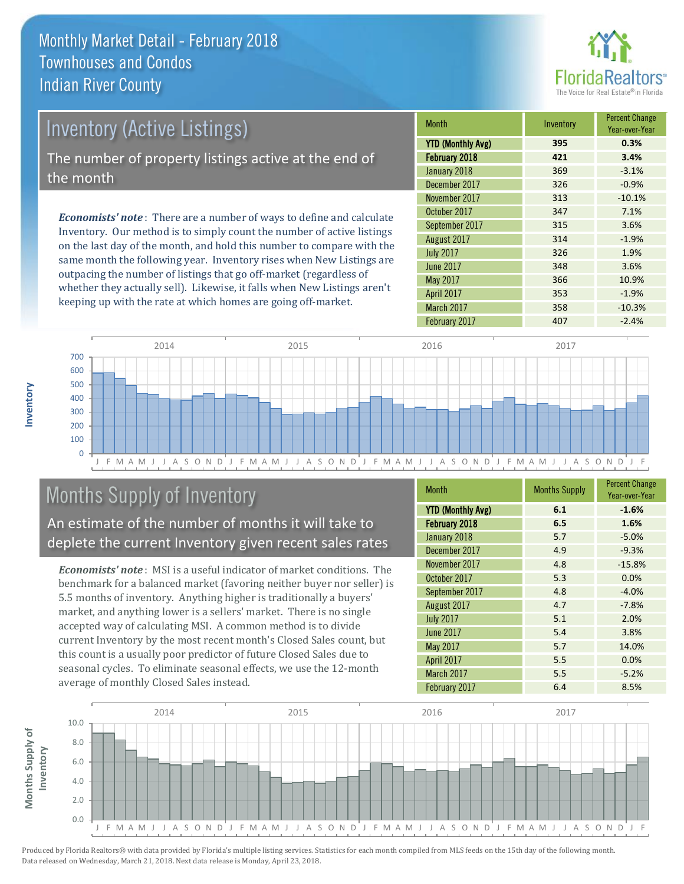

| <b>Inventory (Active Listings)</b><br>The number of property listings active at the end of |             |           |                            |
|--------------------------------------------------------------------------------------------|-------------|-----------|----------------------------|
|                                                                                            |             | the month | January 201<br>December 20 |
|                                                                                            |             |           | November 20                |
| $\sim$ $\sim$ $\sim$ $\sim$ $\sim$ $\sim$ $\sim$ $\sim$<br>.                               | October 201 |           |                            |

*Economists' note* : There are a number of ways to define and calculate Inventory. Our method is to simply count the number of active listings on the last day of the month, and hold this number to compare with the same month the following year. Inventory rises when New Listings are outpacing the number of listings that go off-market (regardless of whether they actually sell). Likewise, it falls when New Listings aren't keeping up with the rate at which homes are going off-market.

| <b>Month</b>             | Inventory | <b>Percent Change</b><br>Year-over-Year |
|--------------------------|-----------|-----------------------------------------|
| <b>YTD (Monthly Avg)</b> | 395       | 0.3%                                    |
| February 2018            | 421       | 3.4%                                    |
| January 2018             | 369       | $-3.1%$                                 |
| December 2017            | 326       | $-0.9%$                                 |
| November 2017            | 313       | $-10.1%$                                |
| October 2017             | 347       | 7.1%                                    |
| September 2017           | 315       | 3.6%                                    |
| August 2017              | 314       | $-1.9%$                                 |
| <b>July 2017</b>         | 326       | 1.9%                                    |
| June 2017                | 348       | 3.6%                                    |
| May 2017                 | 366       | 10.9%                                   |
| April 2017               | 353       | $-1.9%$                                 |
| March 2017               | 358       | $-10.3%$                                |
| February 2017            | 407       | $-2.4%$                                 |



## Months Supply of Inventory

An estimate of the number of months it will take to deplete the current Inventory given recent sales rates

*Economists' note* : MSI is a useful indicator of market conditions. The benchmark for a balanced market (favoring neither buyer nor seller) is 5.5 months of inventory. Anything higher is traditionally a buyers' market, and anything lower is a sellers' market. There is no single accepted way of calculating MSI. A common method is to divide current Inventory by the most recent month's Closed Sales count, but this count is a usually poor predictor of future Closed Sales due to seasonal cycles. To eliminate seasonal effects, we use the 12-month average of monthly Closed Sales instead.

| <b>Month</b>             | <b>Months Supply</b> | <b>Percent Change</b><br>Year-over-Year |
|--------------------------|----------------------|-----------------------------------------|
| <b>YTD (Monthly Avg)</b> | 6.1                  | $-1.6%$                                 |
| February 2018            | 6.5                  | 1.6%                                    |
| January 2018             | 5.7                  | $-5.0%$                                 |
| December 2017            | 4.9                  | $-9.3%$                                 |
| November 2017            | 4.8                  | $-15.8%$                                |
| October 2017             | 5.3                  | 0.0%                                    |
| September 2017           | 4.8                  | $-4.0%$                                 |
| August 2017              | 4.7                  | $-7.8%$                                 |
| <b>July 2017</b>         | 5.1                  | 2.0%                                    |
| <b>June 2017</b>         | 5.4                  | 3.8%                                    |
| <b>May 2017</b>          | 5.7                  | 14.0%                                   |
| April 2017               | 5.5                  | 0.0%                                    |
| <b>March 2017</b>        | 5.5                  | $-5.2%$                                 |
| February 2017            | 6.4                  | 8.5%                                    |

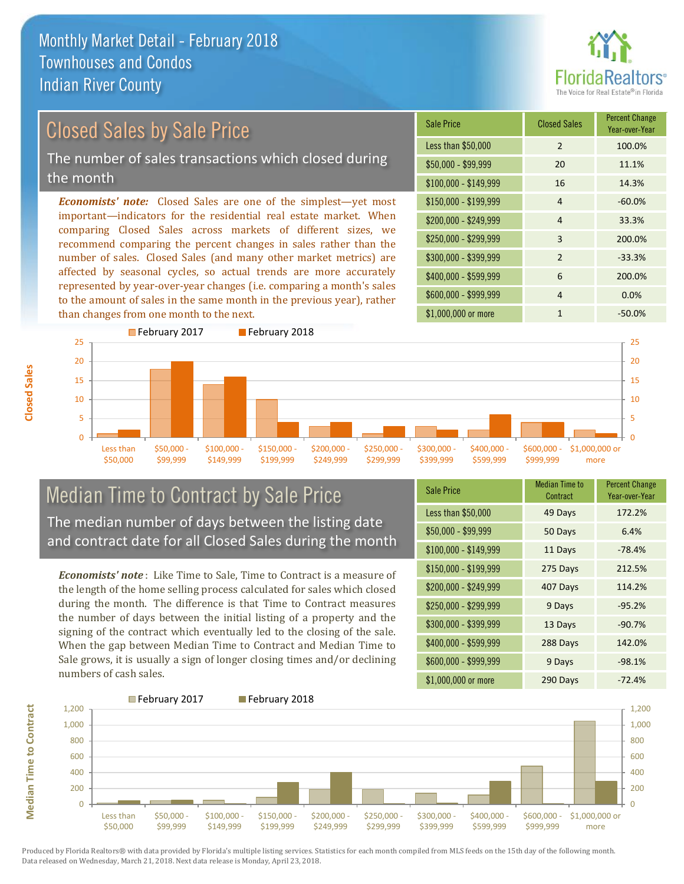

## Closed Sales by Sale Price

The number of sales transactions which closed during the month

*Economists' note:* Closed Sales are one of the simplest—yet most important—indicators for the residential real estate market. When comparing Closed Sales across markets of different sizes, we recommend comparing the percent changes in sales rather than the number of sales. Closed Sales (and many other market metrics) are affected by seasonal cycles, so actual trends are more accurately represented by year-over-year changes (i.e. comparing a month's sales to the amount of sales in the same month in the previous year), rather than changes from one month to the next.

| <b>Sale Price</b>     | <b>Closed Sales</b> | <b>Percent Change</b><br>Year-over-Year |
|-----------------------|---------------------|-----------------------------------------|
| Less than \$50,000    | $\overline{2}$      | 100.0%                                  |
| $$50,000 - $99,999$   | 20                  | 11.1%                                   |
| $$100,000 - $149,999$ | 16                  | 14.3%                                   |
| $$150,000 - $199,999$ | $\overline{4}$      | $-60.0%$                                |
| \$200,000 - \$249,999 | 4                   | 33.3%                                   |
| \$250,000 - \$299,999 | 3                   | 200.0%                                  |
| \$300,000 - \$399,999 | $\mathfrak{p}$      | $-33.3%$                                |
| \$400,000 - \$599,999 | 6                   | 200.0%                                  |
| \$600,000 - \$999,999 | 4                   | 0.0%                                    |
| \$1,000,000 or more   | 1                   | $-50.0%$                                |



#### Median Time to Contract by Sale Price The median number of days between the listing date and contract date for all Closed Sales during the month

*Economists' note* : Like Time to Sale, Time to Contract is a measure of the length of the home selling process calculated for sales which closed during the month. The difference is that Time to Contract measures the number of days between the initial listing of a property and the signing of the contract which eventually led to the closing of the sale. When the gap between Median Time to Contract and Median Time to Sale grows, it is usually a sign of longer closing times and/or declining numbers of cash sales.

| <b>Sale Price</b>     | <b>Median Time to</b><br>Contract | <b>Percent Change</b><br>Year-over-Year |
|-----------------------|-----------------------------------|-----------------------------------------|
| Less than \$50,000    | 49 Days                           | 172.2%                                  |
| $$50,000 - $99,999$   | 50 Days                           | 6.4%                                    |
| $$100,000 - $149,999$ | 11 Days                           | $-78.4%$                                |
| \$150,000 - \$199,999 | 275 Days                          | 212.5%                                  |
| \$200,000 - \$249,999 | 407 Days                          | 114.2%                                  |
| \$250,000 - \$299,999 | 9 Days                            | $-95.2%$                                |
| \$300,000 - \$399,999 | 13 Days                           | $-90.7%$                                |
| \$400,000 - \$599,999 | 288 Days                          | 142.0%                                  |
| \$600,000 - \$999,999 | 9 Days                            | $-98.1%$                                |
| \$1,000,000 or more   | 290 Days                          | $-72.4%$                                |



Produced by Florida Realtors® with data provided by Florida's multiple listing services. Statistics for each month compiled from MLS feeds on the 15th day of the following month. Data released on Wednesday, March 21, 2018. Next data release is Monday, April 23, 2018.

**Median Time to Contract**

**Median Time to Contract**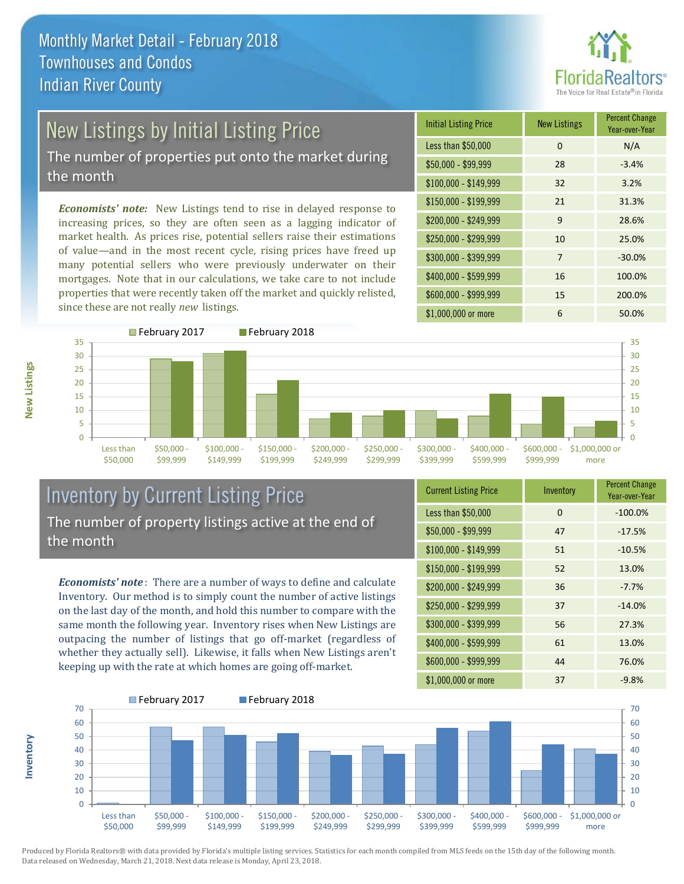

# New Listings by Initial Listing Price

The number of properties put onto the market during the month

*Economists' note:* New Listings tend to rise in delayed response to increasing prices, so they are often seen as a lagging indicator of market health. As prices rise, potential sellers raise their estimations of value—and in the most recent cycle, rising prices have freed up many potential sellers who were previously underwater on their mortgages. Note that in our calculations, we take care to not include properties that were recently taken off the market and quickly relisted, since these are not really *new* listings.





#### Inventory by Current Listing Price The number of property listings active at the end of the month

*Economists' note* : There are a number of ways to define and calculate Inventory. Our method is to simply count the number of active listings on the last day of the month, and hold this number to compare with the same month the following year. Inventory rises when New Listings are outpacing the number of listings that go off-market (regardless of whether they actually sell). Likewise, it falls when New Listings aren't keeping up with the rate at which homes are going off-market.

| <b>Current Listing Price</b> | Inventory | <b>Percent Change</b><br>Year-over-Year |
|------------------------------|-----------|-----------------------------------------|
| Less than \$50,000           | $\Omega$  | $-100.0%$                               |
| \$50,000 - \$99,999          | 47        | $-17.5%$                                |
| $$100,000 - $149,999$        | 51        | $-10.5%$                                |
| $$150,000 - $199,999$        | 52        | 13.0%                                   |
| \$200,000 - \$249,999        | 36        | $-7.7%$                                 |
| \$250,000 - \$299,999        | 37        | $-14.0%$                                |
| \$300,000 - \$399,999        | 56        | 27.3%                                   |
| \$400,000 - \$599,999        | 61        | 13.0%                                   |
| \$600,000 - \$999,999        | 44        | 76.0%                                   |
| \$1,000,000 or more          | 37        | $-9.8%$                                 |



Produced by Florida Realtors® with data provided by Florida's multiple listing services. Statistics for each month compiled from MLS feeds on the 15th day of the following month. Data released on Wednesday, March 21, 2018. Next data release is Monday, April 23, 2018.

**Inventory**